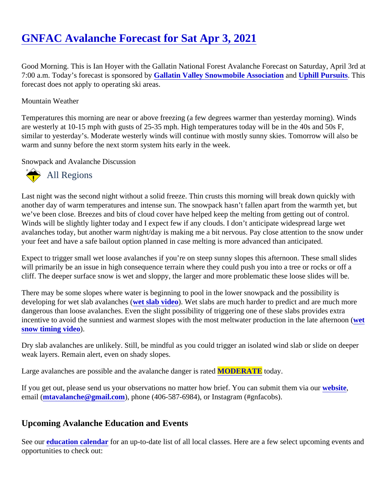## [GNFAC Avalanche Forecast for Sat Apr 3, 202](https://www.mtavalanche.com/forecast/21/04/03)1

Good Morning. This is Ian Hoyer with the Gallatin National Forest Avalanche Forecast on Saturday, April 3rd 7:00 a.m. Today's forecast is sponsored Ballatin Valley Snowmobile Association an[d Uphill Pursuits](http://uphillpursuits.com/index.html). This forecast does not apply to operating ski areas.

## Mountain Weather

Temperatures this morning are near or above freezing (a few degrees warmer than yesterday morning). Wind are westerly at 10-15 mph with gusts of 25-35 mph. High temperatures today will be in the 40s and 50s F, similar to yesterday's. Moderate westerly winds will continue with mostly sunny skies. Tomorrow will also be warm and sunny before the next storm system hits early in the week.

Snowpack and Avalanche Discussion

## All Regions

Last night was the second night without a solid freeze. Thin crusts this morning will break down quickly with another day of warm temperatures and intense sun. The snowpack hasn't fallen apart from the warmth yet, b we've been close. Breezes and bits of cloud cover have helped keep the melting from getting out of control. Winds will be slightly lighter today and I expect few if any clouds. I don't anticipate widespread large wet avalanches today, but another warm night/day is making me a bit nervous. Pay close attention to the snow ur your feet and have a safe bailout option planned in case melting is more advanced than anticipated.

Expect to trigger small wet loose avalanches if you're on steep sunny slopes this afternoon. These small slide will primarily be an issue in high consequence terrain where they could push you into a tree or rocks or off a cliff. The deeper surface snow is wet and sloppy, the larger and more problematic these loose slides will be.

There may be some slopes where water is beginning to pool in the lower snowpack and the possibility is developing for wet slab avalanchese ( slab vided). Wet slabs are much harder to predict and are much more dangerous than loose avalanches. Even the slight possibility of triggering one of these slabs provides extra incentive to avoid the sunniest and warmest slopes with the most meltwater production in the late attetnoon ( snow timing video.

Dry slab avalanches are unlikely. Still, be mindful as you could trigger an isolated wind slab or slide on deepe weak layers. Remain alert, even on shady slopes.

Large avalanches are possible and the avalanche danger **MODERATE** today.

If you get out, please send us your observations no matter how brief. You can submit them velasing email [\(mtavalanche@gmail.com](mailto:mtavalanche@gmail.com)), phone (406-587-6984), or Instagram (#gnfacobs).

## Upcoming Avalanche Education and Events

See ou[r education calendar](https://www.mtavalanche.com/education)for an up-to-date list of all local classes. Here are a few select upcoming events an opportunities to check out: